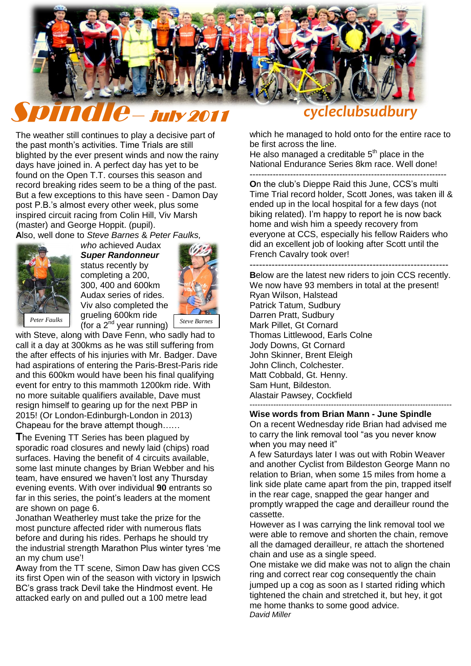

The weather still continues to play a decisive part of the past month"s activities. Time Trials are still blighted by the ever present winds and now the rainy days have joined in. A perfect day has yet to be found on the Open T.T. courses this season and record breaking rides seem to be a thing of the past. But a few exceptions to this have seen - Damon Day post P.B."s almost every other week, plus some inspired circuit racing from Colin Hill, Viv Marsh (master) and George Hoppit. (pupil).<br>Also, well done to *Steve Barnes & Pr* 

**A**lso, well done to *Steve Barnes* & *Peter Faulks,* 



*who* achieved Audax *Super Randonneur* status recently by completing a 200, 300, 400 and 600km Audax series of rides. Viv also completed the grueling 600km ride (for a 2nd year running) *Peter Faulks Steve Barnes*



with Steve, along with Dave Fenn, who sadly had to call it a day at 300kms as he was still suffering from the after effects of his injuries with Mr. Badger. Dave had aspirations of entering the Paris-Brest-Paris ride and this 600km would have been his final qualifying event for entry to this mammoth 1200km ride. With no more suitable qualifiers available, Dave must resign himself to gearing up for the next PBP in 2015! (Or London-Edinburgh-London in 2013) Chapeau for the brave attempt though……

**T**he Evening TT Series has been plagued by sporadic road closures and newly laid (chips) road surfaces. Having the benefit of 4 circuits available, some last minute changes by Brian Webber and his team, have ensured we haven"t lost any Thursday evening events. With over individual **90** entrants so far in this series, the point's leaders at the moment are shown on page 6.

Jonathan Weatherley must take the prize for the most puncture affected rider with numerous flats before and during his rides. Perhaps he should try the industrial strength Marathon Plus winter tyres "me an my chum use"!

**A**way from the TT scene, Simon Daw has given CCS its first Open win of the season with victory in Ipswich BC"s grass track Devil take the Hindmost event. He attacked early on and pulled out a 100 metre lead

which he managed to hold onto for the entire race to be first across the line.

He also managed a creditable  $5<sup>th</sup>$  place in the National Endurance Series 8km race. Well done! --------------------------------------------------------------------

**On the club's Dieppe Raid this June, CCS's multi** Time Trial record holder, Scott Jones, was taken ill & ended up in the local hospital for a few days (not biking related). I"m happy to report he is now back home and wish him a speedy recovery from everyone at CCS, especially his fellow Raiders who did an excellent job of looking after Scott until the French Cavalry took over!

--------------------------------------------------------------- **B**elow are the latest new riders to join CCS recently. We now have 93 members in total at the present! Ryan Wilson, Halstead Patrick Tatum, Sudbury Darren Pratt, Sudbury Mark Pillet, Gt Cornard Thomas Littlewood, Earls Colne Jody Downs, Gt Cornard John Skinner, Brent Eleigh John Clinch, Colchester. Matt Cobbald, Gt. Henny. Sam Hunt, Bildeston. Alastair Pawsey, Cockfield -----------------------------------------------------------------------------

#### **Wise words from Brian Mann - June Spindle**

On a recent Wednesday ride Brian had advised me to carry the link removal tool "as you never know when you may need it"

A few Saturdays later I was out with Robin Weaver and another Cyclist from Bildeston George Mann no relation to Brian, when some 15 miles from home a link side plate came apart from the pin, trapped itself in the rear cage, snapped the gear hanger and promptly wrapped the cage and derailleur round the cassette.

However as I was carrying the link removal tool we were able to remove and shorten the chain, remove all the damaged derailleur, re attach the shortened chain and use as a single speed.

One mistake we did make was not to align the chain ring and correct rear cog consequently the chain jumped up a cog as soon as I started riding which tightened the chain and stretched it, but hey, it got me home thanks to some good advice. *David Miller*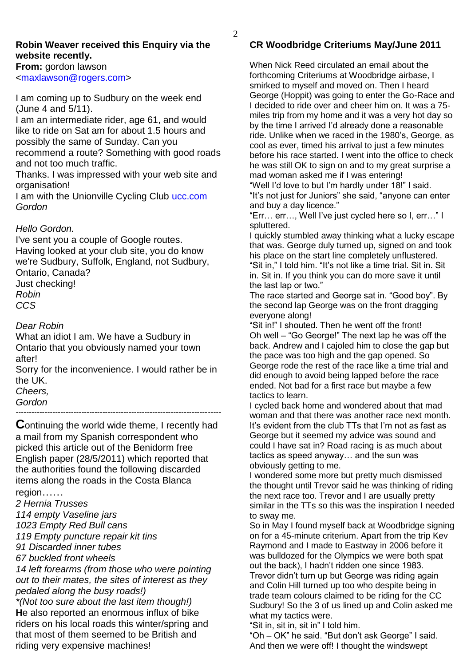### **Robin Weaver received this Enquiry via the website recently.**

**From:** gordon lawson [<maxlawson@rogers.com>](javascript:void(0);)

I am coming up to Sudbury on the week end (June 4 and 5/11).

I am an intermediate rider, age 61, and would like to ride on Sat am for about 1.5 hours and possibly the same of Sunday. Can you recommend a route? Something with good roads

and not too much traffic. Thanks. I was impressed with your web site and

organisation!

I am with the Unionville Cycling Club [ucc.com](http://webmail.tiscali.co.uk/cp/ps/Mail/ExternalURLProxy?d=tiscali.co.uk&u=robinandpam&url=http://ucc.com&urlHash=-8.976251661112107E-6#_blank) *Gordon* 

### *Hello Gordon.*

I've sent you a couple of Google routes. Having looked at your club site, you do know we're Sudbury, Suffolk, England, not Sudbury, Ontario, Canada?

Just checking! *Robin*

*CCS*

## *Dear Robin*

What an idiot I am. We have a Sudbury in Ontario that you obviously named your town after!

Sorry for the inconvenience. I would rather be in the UK.

*Cheers,*

*Gordon*

*------------------------------------------------------------------------------*

**C**ontinuing the world wide theme, I recently had a mail from my Spanish correspondent who picked this article out of the Benidorm free English paper (28/5/2011) which reported that the authorities found the following discarded items along the roads in the Costa Blanca region……

*2 Hernia Trusses*

*114 empty Vaseline jars*

*1023 Empty Red Bull cans*

*119 Empty puncture repair kit tins*

*91 Discarded inner tubes*

*67 buckled front wheels*

*14 left forearms (from those who were pointing out to their mates, the sites of interest as they pedaled along the busy roads!)*

*\*(Not too sure about the last item though!)* **H**e also reported an enormous influx of bike riders on his local roads this winter/spring and that most of them seemed to be British and riding very expensive machines!

# **CR Woodbridge Criteriums May/June 2011**

When Nick Reed circulated an email about the forthcoming Criteriums at Woodbridge airbase, I smirked to myself and moved on. Then I heard George (Hoppit) was going to enter the Go-Race and I decided to ride over and cheer him on. It was a 75 miles trip from my home and it was a very hot day so by the time I arrived I"d already done a reasonable ride. Unlike when we raced in the 1980"s, George, as cool as ever, timed his arrival to just a few minutes before his race started. I went into the office to check he was still OK to sign on and to my great surprise a mad woman asked me if I was entering!

"Well I"d love to but I"m hardly under 18!" I said. "It"s not just for Juniors" she said, "anyone can enter and buy a day licence."

"Err… err…, Well I"ve just cycled here so I, err…" I spluttered.

I quickly stumbled away thinking what a lucky escape that was. George duly turned up, signed on and took his place on the start line completely unflustered. "Sit in," I told him. "It"s not like a time trial. Sit in. Sit in. Sit in. If you think you can do more save it until the last lap or two."

The race started and George sat in. "Good boy". By the second lap George was on the front dragging everyone along!

"Sit in!" I shouted. Then he went off the front! Oh well – "Go George!" The next lap he was off the back. Andrew and I cajoled him to close the gap but the pace was too high and the gap opened. So George rode the rest of the race like a time trial and did enough to avoid being lapped before the race ended. Not bad for a first race but maybe a few tactics to learn.

I cycled back home and wondered about that mad woman and that there was another race next month. It"s evident from the club TTs that I"m not as fast as George but it seemed my advice was sound and could I have sat in? Road racing is as much about tactics as speed anyway… and the sun was obviously getting to me.

I wondered some more but pretty much dismissed the thought until Trevor said he was thinking of riding the next race too. Trevor and I are usually pretty similar in the TTs so this was the inspiration I needed to sway me.

So in May I found myself back at Woodbridge signing on for a 45-minute criterium. Apart from the trip Kev Raymond and I made to Eastway in 2006 before it was bulldozed for the Olympics we were both spat out the back), I hadn"t ridden one since 1983.

Trevor didn"t turn up but George was riding again and Colin Hill turned up too who despite being in trade team colours claimed to be riding for the CC Sudbury! So the 3 of us lined up and Colin asked me what my tactics were.

"Sit in, sit in, sit in" I told him.

"Oh – OK" he said. "But don"t ask George" I said. And then we were off! I thought the windswept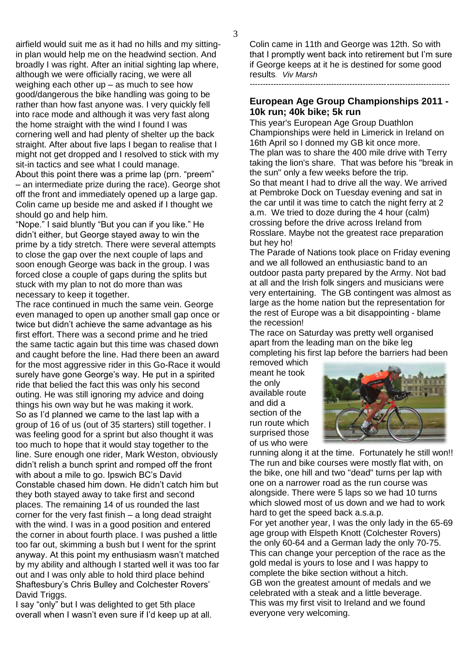airfield would suit me as it had no hills and my sittingin plan would help me on the headwind section. And broadly I was right. After an initial sighting lap where, although we were officially racing, we were all weighing each other up – as much to see how good/dangerous the bike handling was going to be rather than how fast anyone was. I very quickly fell into race mode and although it was very fast along the home straight with the wind I found I was cornering well and had plenty of shelter up the back straight. After about five laps I began to realise that I might not get dropped and I resolved to stick with my sit-in tactics and see what I could manage. About this point there was a prime lap (prn. "preem" – an intermediate prize during the race). George shot off the front and immediately opened up a large gap. Colin came up beside me and asked if I thought we should go and help him.

"Nope." I said bluntly "But you can if you like." He didn"t either, but George stayed away to win the prime by a tidy stretch. There were several attempts to close the gap over the next couple of laps and soon enough George was back in the group. I was forced close a couple of gaps during the splits but stuck with my plan to not do more than was necessary to keep it together.

The race continued in much the same vein. George even managed to open up another small gap once or twice but didn"t achieve the same advantage as his first effort. There was a second prime and he tried the same tactic again but this time was chased down and caught before the line. Had there been an award for the most aggressive rider in this Go-Race it would surely have gone George's way. He put in a spirited ride that belied the fact this was only his second outing. He was still ignoring my advice and doing things his own way but he was making it work. So as I"d planned we came to the last lap with a group of 16 of us (out of 35 starters) still together. I was feeling good for a sprint but also thought it was too much to hope that it would stay together to the line. Sure enough one rider, Mark Weston, obviously didn"t relish a bunch sprint and romped off the front with about a mile to go. Ipswich BC"s David Constable chased him down. He didn"t catch him but they both stayed away to take first and second places. The remaining 14 of us rounded the last corner for the very fast finish – a long dead straight with the wind. I was in a good position and entered the corner in about fourth place. I was pushed a little too far out, skimming a bush but I went for the sprint anyway. At this point my enthusiasm wasn"t matched by my ability and although I started well it was too far out and I was only able to hold third place behind Shaftesbury"s Chris Bulley and Colchester Rovers" David Triggs.

I say "only" but I was delighted to get 5th place overall when I wasn"t even sure if I"d keep up at all. Colin came in 11th and George was 12th. So with that I promptly went back into retirement but I"m sure if George keeps at it he is destined for some good results*. Viv Marsh*

*----------------------------------------------------------------------------*

#### **European Age Group Championships 2011 - 10k run; 40k bike; 5k run**

This year's European Age Group Duathlon Championships were held in Limerick in Ireland on 16th April so I donned my GB kit once more. The plan was to share the 400 mile drive with Terry taking the lion's share. That was before his "break in the sun" only a few weeks before the trip. So that meant I had to drive all the way. We arrived at Pembroke Dock on Tuesday evening and sat in the car until it was time to catch the night ferry at 2 a.m. We tried to doze during the 4 hour (calm) crossing before the drive across Ireland from Rosslare. Maybe not the greatest race preparation but hey ho!

The Parade of Nations took place on Friday evening and we all followed an enthusiastic band to an outdoor pasta party prepared by the Army. Not bad at all and the Irish folk singers and musicians were very entertaining. The GB contingent was almost as large as the home nation but the representation for the rest of Europe was a bit disappointing - blame the recession!

The race on Saturday was pretty well organised apart from the leading man on the bike leg completing his first lap before the barriers had been

removed which meant he took the only available route and did a section of the run route which surprised those of us who were



running along it at the time. Fortunately he still won!! The run and bike courses were mostly flat with, on the bike, one hill and two "dead" turns per lap with one on a narrower road as the run course was alongside. There were 5 laps so we had 10 turns which slowed most of us down and we had to work hard to get the speed back a.s.a.p.

For yet another year, I was the only lady in the 65-69 age group with Elspeth Knott (Colchester Rovers) the only 60-64 and a German lady the only 70-75. This can change your perception of the race as the gold medal is yours to lose and I was happy to complete the bike section without a hitch. GB won the greatest amount of medals and we celebrated with a steak and a little beverage. This was my first visit to Ireland and we found everyone very welcoming.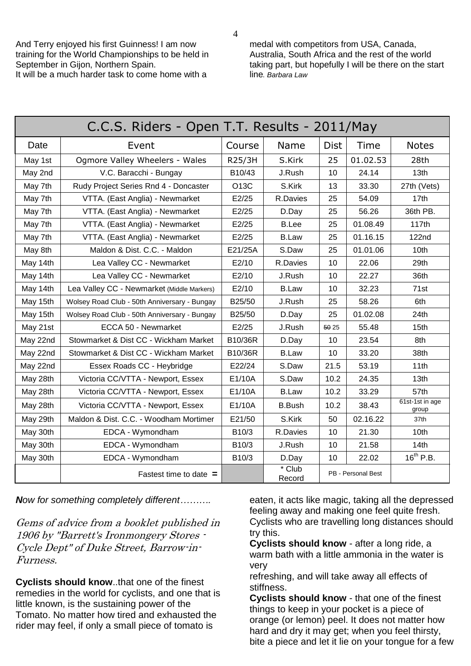And Terry enjoyed his first Guinness! I am now training for the World Championships to be held in September in Gijon, Northern Spain. It will be a much harder task to come home with a

medal with competitors from USA, Canada, Australia, South Africa and the rest of the world taking part, but hopefully I will be there on the start line*. Barbara Law*

| C.C.S. Riders - Open T.T. Results - 2011/May |                                              |                    |                  |             |                    |                          |  |  |  |  |
|----------------------------------------------|----------------------------------------------|--------------------|------------------|-------------|--------------------|--------------------------|--|--|--|--|
| Date                                         | Event                                        | Course             | Name             | <b>Dist</b> | Time               | <b>Notes</b>             |  |  |  |  |
| May 1st                                      | Ogmore Valley Wheelers - Wales               | R25/3H             | S.Kirk           | 25          | 01.02.53           | 28th                     |  |  |  |  |
| May 2nd                                      | V.C. Baracchi - Bungay                       | B10/43             | J.Rush           | 10          | 24.14              | 13 <sub>th</sub>         |  |  |  |  |
| May 7th                                      | Rudy Project Series Rnd 4 - Doncaster        | O13C               | S.Kirk           | 13          | 33.30              | 27th (Vets)              |  |  |  |  |
| May 7th                                      | VTTA. (East Anglia) - Newmarket              | E2/25              | R.Davies         | 25          | 54.09              | 17th                     |  |  |  |  |
| May 7th                                      | VTTA. (East Anglia) - Newmarket              | E2/25              | D.Day            | 25          | 56.26              | 36th PB.                 |  |  |  |  |
| May 7th                                      | VTTA. (East Anglia) - Newmarket              | E2/25              | <b>B.Lee</b>     | 25          | 01.08.49           | 117th                    |  |  |  |  |
| May 7th                                      | VTTA. (East Anglia) - Newmarket              | E2/25              | <b>B.Law</b>     | 25          | 01.16.15           | 122nd                    |  |  |  |  |
| May 8th                                      | Maldon & Dist. C.C. - Maldon                 | E21/25A            | S.Daw            | 25          | 01.01.06           | 10th                     |  |  |  |  |
| May 14th                                     | Lea Valley CC - Newmarket                    | E2/10              | R.Davies         | 10          | 22.06              | 29th                     |  |  |  |  |
| May 14th                                     | Lea Valley CC - Newmarket                    | E2/10              | J.Rush           | 10          | 22.27              | 36th                     |  |  |  |  |
| May 14th                                     | Lea Valley CC - Newmarket (Middle Markers)   | E2/10              | <b>B.Law</b>     | 10          | 32.23              | 71st                     |  |  |  |  |
| May 15th                                     | Wolsey Road Club - 50th Anniversary - Bungay | B25/50             | J.Rush           | 25          | 58.26              | 6th                      |  |  |  |  |
| May 15th                                     | Wolsey Road Club - 50th Anniversary - Bungay | B25/50             | D.Day            | 25          | 01.02.08           | 24th                     |  |  |  |  |
| May 21st                                     | ECCA 50 - Newmarket                          | E2/25              | J.Rush           | 50 25       | 55.48              | 15th                     |  |  |  |  |
| May 22nd                                     | Stowmarket & Dist CC - Wickham Market        | B10/36R            | D.Day            | 10          | 23.54              | 8th                      |  |  |  |  |
| May 22nd                                     | Stowmarket & Dist CC - Wickham Market        | B10/36R            | <b>B.Law</b>     | 10          | 33.20              | 38th                     |  |  |  |  |
| May 22nd                                     | Essex Roads CC - Heybridge                   | E22/24             | S.Daw            | 21.5        | 53.19              | 11th                     |  |  |  |  |
| May 28th                                     | Victoria CC/VTTA - Newport, Essex            | E1/10A             | S.Daw            | 10.2        | 24.35              | 13th                     |  |  |  |  |
| May 28th                                     | Victoria CC/VTTA - Newport, Essex            | E1/10A             | <b>B.Law</b>     | 10.2        | 33.29              | 57th                     |  |  |  |  |
| May 28th                                     | Victoria CC/VTTA - Newport, Essex            | E1/10A             | <b>B.Bush</b>    | 10.2        | 38.43              | 61st-1st in age<br>group |  |  |  |  |
| May 29th                                     | Maldon & Dist. C.C. - Woodham Mortimer       | E21/50             | S.Kirk           | 50          | 02.16.22           | 37th                     |  |  |  |  |
| May 30th                                     | EDCA - Wymondham                             | B10/3              | R.Davies         | 10          | 21.30              | 10th                     |  |  |  |  |
| May 30th                                     | EDCA - Wymondham                             | B <sub>10</sub> /3 | J.Rush           | 10          | 21.58              | 14th                     |  |  |  |  |
| May 30th                                     | EDCA - Wymondham                             | B10/3              | D.Day            | 10          | 22.02              | $16^{th}$ P.B.           |  |  |  |  |
|                                              | Fastest time to date $=$                     |                    | * Club<br>Record |             | PB - Personal Best |                          |  |  |  |  |

*Now for something completely different……….*

Gems of advice from a booklet published in 1906 by "Barrett's Ironmongery Stores - Cycle Dept" of Duke Street, Barrow-in-Furness.

**Cyclists should know**..that one of the finest remedies in the world for cyclists, and one that is little known, is the sustaining power of the Tomato. No matter how tired and exhausted the rider may feel, if only a small piece of tomato is

eaten, it acts like magic, taking all the depressed feeling away and making one feel quite fresh. Cyclists who are travelling long distances should try this.

**Cyclists should know** - after a long ride, a warm bath with a little ammonia in the water is very

refreshing, and will take away all effects of stiffness.

**Cyclists should know** - that one of the finest things to keep in your pocket is a piece of orange (or lemon) peel. It does not matter how hard and dry it may get; when you feel thirsty, bite a piece and let it lie on your tongue for a few

4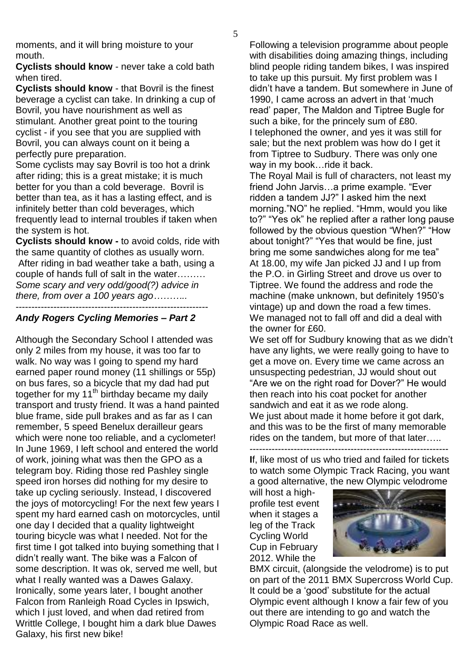moments, and it will bring moisture to your mouth.

**Cyclists should know** - never take a cold bath when tired.

**Cyclists should know** - that Bovril is the finest beverage a cyclist can take. In drinking a cup of Bovril, you have nourishment as well as stimulant. Another great point to the touring cyclist - if you see that you are supplied with Bovril, you can always count on it being a perfectly pure preparation.

Some cyclists may say Bovril is too hot a drink after riding; this is a great mistake; it is much better for you than a cold beverage. Bovril is better than tea, as it has a lasting effect, and is infinitely better than cold beverages, which frequently lead to internal troubles if taken when the system is hot.

**Cyclists should know -** to avoid colds, ride with the same quantity of clothes as usually worn. After riding in bad weather take a bath, using a couple of hands full of salt in the water……… *Some scary and very odd/good(?) advice in there, from over a 100 years ago………..* -------------------------------------------------------------

#### *Andy Rogers Cycling Memories – Part 2*

Although the Secondary School I attended was only 2 miles from my house, it was too far to walk. No way was I going to spend my hard earned paper round money (11 shillings or 55p) on bus fares, so a bicycle that my dad had put together for my  $11<sup>th</sup>$  birthday became my daily transport and trusty friend. It was a hand painted blue frame, side pull brakes and as far as I can remember, 5 speed Benelux derailleur gears which were none too reliable, and a cyclometer! In June 1969, I left school and entered the world of work, joining what was then the GPO as a telegram boy. Riding those red Pashley single speed iron horses did nothing for my desire to take up cycling seriously. Instead, I discovered the joys of motorcycling! For the next few years I spent my hard earned cash on motorcycles, until one day I decided that a quality lightweight touring bicycle was what I needed. Not for the first time I got talked into buying something that I didn"t really want. The bike was a Falcon of some description. It was ok, served me well, but what I really wanted was a Dawes Galaxy. Ironically, some years later, I bought another Falcon from Ranleigh Road Cycles in Ipswich, which I just loved, and when dad retired from Writtle College, I bought him a dark blue Dawes Galaxy, his first new bike!

Following a television programme about people with disabilities doing amazing things, including blind people riding tandem bikes, I was inspired to take up this pursuit. My first problem was I didn"t have a tandem. But somewhere in June of 1990, I came across an advert in that 'much read" paper, The Maldon and Tiptree Bugle for such a bike, for the princely sum of £80. I telephoned the owner, and yes it was still for sale; but the next problem was how do I get it from Tiptree to Sudbury. There was only one way in my book…ride it back.

The Royal Mail is full of characters, not least my friend John Jarvis…a prime example. "Ever ridden a tandem JJ?" I asked him the next morning."NO" he replied. "Hmm, would you like to?" "Yes ok" he replied after a rather long pause followed by the obvious question "When?" "How about tonight?" "Yes that would be fine, just bring me some sandwiches along for me tea" At 18.00, my wife Jan picked JJ and I up from the P.O. in Girling Street and drove us over to Tiptree. We found the address and rode the machine (make unknown, but definitely 1950"s vintage) up and down the road a few times. We managed not to fall off and did a deal with the owner for £60.

We set off for Sudbury knowing that as we didn"t have any lights, we were really going to have to get a move on. Every time we came across an unsuspecting pedestrian, JJ would shout out "Are we on the right road for Dover?" He would then reach into his coat pocket for another sandwich and eat it as we rode along. We just about made it home before it got dark, and this was to be the first of many memorable rides on the tandem, but more of that later…..

--------------------------------------------------------------- **I**f, like most of us who tried and failed for tickets to watch some Olympic Track Racing, you want a good alternative, the new Olympic velodrome

will host a highprofile test event when it stages a leg of the Track Cycling World Cup in February 2012. While the



BMX circuit, (alongside the velodrome) is to put on part of the 2011 BMX Supercross World Cup. It could be a "good" substitute for the actual Olympic event although I know a fair few of you out there are intending to go and watch the Olympic Road Race as well.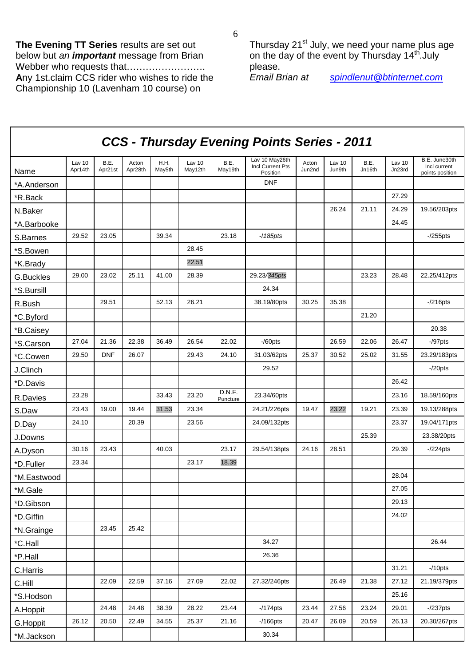**The Evening TT Series** results are set out below but *an important* message from Brian Webber who requests that……………………… **A**ny 1st.claim CCS rider who wishes to ride the Championship 10 (Lavenham 10 course) on

Г

Thursday 21<sup>st</sup> July, we need your name plus age on the day of the event by Thursday 14<sup>th</sup>.July

please.<br>*Email Brian at* 

*Email Brian at [spindlenut@btinternet.com](mailto:spindlenut@btinternet.com)*

| <b>CCS - Thursday Evening Points Series - 2011</b> |                   |                 |                  |                |                   |                    |                                                |                 |                  |                |                  |                                                  |
|----------------------------------------------------|-------------------|-----------------|------------------|----------------|-------------------|--------------------|------------------------------------------------|-----------------|------------------|----------------|------------------|--------------------------------------------------|
| Name                                               | Lav 10<br>Apr14th | B.E.<br>Apr21st | Acton<br>Apr28th | H.H.<br>May5th | Lav 10<br>May12th | B.E.<br>May19th    | Lav 10 May26th<br>Incl Current Pts<br>Position | Acton<br>Jun2nd | Lav 10<br>Jun9th | B.E.<br>Jn16th | Lav 10<br>Jn23rd | B.E. June30th<br>Incl current<br>points position |
| *A.Anderson                                        |                   |                 |                  |                |                   |                    | <b>DNF</b>                                     |                 |                  |                |                  |                                                  |
| *R.Back                                            |                   |                 |                  |                |                   |                    |                                                |                 |                  |                | 27.29            |                                                  |
| N.Baker                                            |                   |                 |                  |                |                   |                    |                                                |                 | 26.24            | 21.11          | 24.29            | 19.56/203pts                                     |
| *A.Barbooke                                        |                   |                 |                  |                |                   |                    |                                                |                 |                  |                | 24.45            |                                                  |
| S.Barnes                                           | 29.52             | 23.05           |                  | 39.34          |                   | 23.18              | $-185$ pts                                     |                 |                  |                |                  | $-255$ pts                                       |
| *S.Bowen                                           |                   |                 |                  |                | 28.45             |                    |                                                |                 |                  |                |                  |                                                  |
| *K.Brady                                           |                   |                 |                  |                | 22.51             |                    |                                                |                 |                  |                |                  |                                                  |
| G.Buckles                                          | 29.00             | 23.02           | 25.11            | 41.00          | 28.39             |                    | 29.23/345pts                                   |                 |                  | 23.23          | 28.48            | 22.25/412pts                                     |
| *S.Bursill                                         |                   |                 |                  |                |                   |                    | 24.34                                          |                 |                  |                |                  |                                                  |
| R.Bush                                             |                   | 29.51           |                  | 52.13          | 26.21             |                    | 38.19/80pts                                    | 30.25           | 35.38            |                |                  | $-216$ pts                                       |
| *C.Byford                                          |                   |                 |                  |                |                   |                    |                                                |                 |                  | 21.20          |                  |                                                  |
| *B.Caisey                                          |                   |                 |                  |                |                   |                    |                                                |                 |                  |                |                  | 20.38                                            |
| *S.Carson                                          | 27.04             | 21.36           | 22.38            | 36.49          | 26.54             | 22.02              | $-$ /60pts                                     |                 | 26.59            | 22.06          | 26.47            | $-$ /97 $pts$                                    |
| *C.Cowen                                           | 29.50             | <b>DNF</b>      | 26.07            |                | 29.43             | 24.10              | 31.03/62pts                                    | 25.37           | 30.52            | 25.02          | 31.55            | 23.29/183pts                                     |
| J.Clinch                                           |                   |                 |                  |                |                   |                    | 29.52                                          |                 |                  |                |                  | $-20pts$                                         |
| *D.Davis                                           |                   |                 |                  |                |                   |                    |                                                |                 |                  |                | 26.42            |                                                  |
| R.Davies                                           | 23.28             |                 |                  | 33.43          | 23.20             | D.N.F.<br>Puncture | 23.34/60pts                                    |                 |                  |                | 23.16            | 18.59/160pts                                     |
| S.Daw                                              | 23.43             | 19.00           | 19.44            | 31.53          | 23.34             |                    | 24.21/226pts                                   | 19.47           | 23.22            | 19.21          | 23.39            | 19.13/288pts                                     |
| D.Day                                              | 24.10             |                 | 20.39            |                | 23.56             |                    | 24.09/132pts                                   |                 |                  |                | 23.37            | 19.04/171pts                                     |
| J.Downs                                            |                   |                 |                  |                |                   |                    |                                                |                 |                  | 25.39          |                  | 23.38/20pts                                      |
| A.Dyson                                            | 30.16             | 23.43           |                  | 40.03          |                   | 23.17              | 29.54/138pts                                   | 24.16           | 28.51            |                | 29.39            | $-224$ pts                                       |
| *D.Fuller                                          | 23.34             |                 |                  |                | 23.17             | 18.39              |                                                |                 |                  |                |                  |                                                  |
| *M.Eastwood                                        |                   |                 |                  |                |                   |                    |                                                |                 |                  |                | 28.04            |                                                  |
| *M.Gale                                            |                   |                 |                  |                |                   |                    |                                                |                 |                  |                | 27.05            |                                                  |
| *D.Gibson                                          |                   |                 |                  |                |                   |                    |                                                |                 |                  |                | 29.13            |                                                  |
| *D.Giffin                                          |                   |                 |                  |                |                   |                    |                                                |                 |                  |                | 24.02            |                                                  |
| *N.Grainge                                         |                   | 23.45           | 25.42            |                |                   |                    |                                                |                 |                  |                |                  |                                                  |
| *C.Hall                                            |                   |                 |                  |                |                   |                    | 34.27                                          |                 |                  |                |                  | 26.44                                            |
| *P.Hall                                            |                   |                 |                  |                |                   |                    | 26.36                                          |                 |                  |                |                  |                                                  |
| C.Harris                                           |                   |                 |                  |                |                   |                    |                                                |                 |                  |                | 31.21            | $-10$ pts                                        |
| C.Hill                                             |                   | 22.09           | 22.59            | 37.16          | 27.09             | 22.02              | 27.32/246pts                                   |                 | 26.49            | 21.38          | 27.12            | 21.19/379pts                                     |
| *S.Hodson                                          |                   |                 |                  |                |                   |                    |                                                |                 |                  |                | 25.16            |                                                  |
| A.Hoppit                                           |                   | 24.48           | 24.48            | 38.39          | 28.22             | 23.44              | $-174$ pts                                     | 23.44           | 27.56            | 23.24          | 29.01            | $-237$ pts                                       |
| G.Hoppit                                           | 26.12             | 20.50           | 22.49            | 34.55          | 25.37             | 21.16              | $-166$ pts                                     | 20.47           | 26.09            | 20.59          | 26.13            | 20.30/267pts                                     |
| *M.Jackson                                         |                   |                 |                  |                |                   |                    | 30.34                                          |                 |                  |                |                  |                                                  |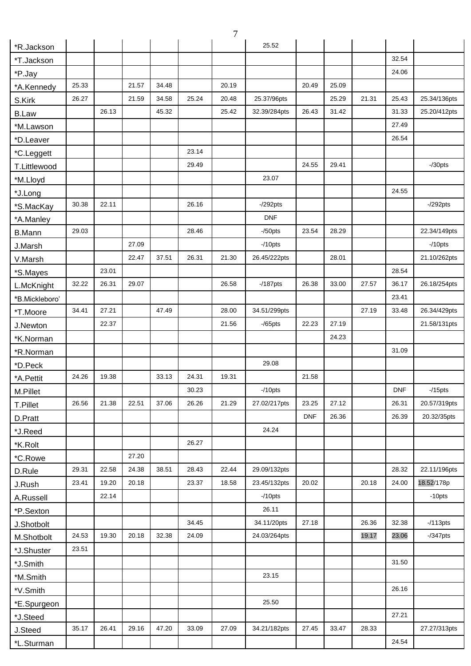| $\overline{7}$ |       |       |       |       |       |       |              |            |       |       |            |              |
|----------------|-------|-------|-------|-------|-------|-------|--------------|------------|-------|-------|------------|--------------|
| *R.Jackson     |       |       |       |       |       |       | 25.52        |            |       |       |            |              |
| *T.Jackson     |       |       |       |       |       |       |              |            |       |       | 32.54      |              |
| *P.Jay         |       |       |       |       |       |       |              |            |       |       | 24.06      |              |
| *A.Kennedy     | 25.33 |       | 21.57 | 34.48 |       | 20.19 |              | 20.49      | 25.09 |       |            |              |
| S.Kirk         | 26.27 |       | 21.59 | 34.58 | 25.24 | 20.48 | 25.37/96pts  |            | 25.29 | 21.31 | 25.43      | 25.34/136pts |
| <b>B.Law</b>   |       | 26.13 |       | 45.32 |       | 25.42 | 32.39/284pts | 26.43      | 31.42 |       | 31.33      | 25.20/412pts |
| *M.Lawson      |       |       |       |       |       |       |              |            |       |       | 27.49      |              |
| *D.Leaver      |       |       |       |       |       |       |              |            |       |       | 26.54      |              |
| *C.Leggett     |       |       |       |       | 23.14 |       |              |            |       |       |            |              |
| T.Littlewood   |       |       |       |       | 29.49 |       |              | 24.55      | 29.41 |       |            | $-$ /30pts   |
| *M.Lloyd       |       |       |       |       |       |       | 23.07        |            |       |       |            |              |
| *J.Long        |       |       |       |       |       |       |              |            |       |       | 24.55      |              |
| *S.MacKay      | 30.38 | 22.11 |       |       | 26.16 |       | $-292$ pts   |            |       |       |            | $-292$ pts   |
| *A.Manley      |       |       |       |       |       |       | <b>DNF</b>   |            |       |       |            |              |
| <b>B.Mann</b>  | 29.03 |       |       |       | 28.46 |       | $-/50$ pts   | 23.54      | 28.29 |       |            | 22.34/149pts |
| J.Marsh        |       |       | 27.09 |       |       |       | $-10$ pts    |            |       |       |            | $-10$ pts    |
| V.Marsh        |       |       | 22.47 | 37.51 | 26.31 | 21.30 | 26.45/222pts |            | 28.01 |       |            | 21.10/262pts |
| *S.Mayes       |       | 23.01 |       |       |       |       |              |            |       |       | 28.54      |              |
| L.McKnight     | 32.22 | 26.31 | 29.07 |       |       | 26.58 | $-187$ pts   | 26.38      | 33.00 | 27.57 | 36.17      | 26.18/254pts |
| *B.Mickleboro' |       |       |       |       |       |       |              |            |       |       | 23.41      |              |
| *T.Moore       | 34.41 | 27.21 |       | 47.49 |       | 28.00 | 34.51/299pts |            |       | 27.19 | 33.48      | 26.34/429pts |
| J.Newton       |       | 22.37 |       |       |       | 21.56 | $-$ /65pts   | 22.23      | 27.19 |       |            | 21.58/131pts |
| *K.Norman      |       |       |       |       |       |       |              |            | 24.23 |       |            |              |
| *R.Norman      |       |       |       |       |       |       |              |            |       |       | 31.09      |              |
| *D.Peck        |       |       |       |       |       |       | 29.08        |            |       |       |            |              |
| *A.Pettit      | 24.26 | 19.38 |       | 33.13 | 24.31 | 19.31 |              | 21.58      |       |       |            |              |
| M.Pillet       |       |       |       |       | 30.23 |       | $-10$ pts    |            |       |       | <b>DNF</b> | $-15$ pts    |
| T.Pillet       | 26.56 | 21.38 | 22.51 | 37.06 | 26.26 | 21.29 | 27.02/217pts | 23.25      | 27.12 |       | 26.31      | 20.57/319pts |
| D.Pratt        |       |       |       |       |       |       |              | <b>DNF</b> | 26.36 |       | 26.39      | 20.32/35pts  |
| *J.Reed        |       |       |       |       |       |       | 24.24        |            |       |       |            |              |
| *K.Rolt        |       |       |       |       | 26.27 |       |              |            |       |       |            |              |
| *C.Rowe        |       |       | 27.20 |       |       |       |              |            |       |       |            |              |
| D.Rule         | 29.31 | 22.58 | 24.38 | 38.51 | 28.43 | 22.44 | 29.09/132pts |            |       |       | 28.32      | 22.11/196pts |
| J.Rush         | 23.41 | 19.20 | 20.18 |       | 23.37 | 18.58 | 23.45/132pts | 20.02      |       | 20.18 | 24.00      | 18.52/178p   |
| A.Russell      |       | 22.14 |       |       |       |       | $-10$ pts    |            |       |       |            | $-10$ pts    |
| *P.Sexton      |       |       |       |       |       |       | 26.11        |            |       |       |            |              |
| J.Shotbolt     |       |       |       |       | 34.45 |       | 34.11/20pts  | 27.18      |       | 26.36 | 32.38      | $-113pts$    |
| M.Shotbolt     | 24.53 | 19.30 | 20.18 | 32.38 | 24.09 |       | 24.03/264pts |            |       | 19.17 | 23.06      | $-$ /347pts  |
| *J.Shuster     | 23.51 |       |       |       |       |       |              |            |       |       |            |              |
| *J.Smith       |       |       |       |       |       |       |              |            |       |       | 31.50      |              |
| *M.Smith       |       |       |       |       |       |       | 23.15        |            |       |       |            |              |
| *V.Smith       |       |       |       |       |       |       |              |            |       |       | 26.16      |              |
| *E.Spurgeon    |       |       |       |       |       |       | 25.50        |            |       |       |            |              |
| *J.Steed       |       |       |       |       |       |       |              |            |       |       | 27.21      |              |
| J.Steed        | 35.17 | 26.41 | 29.16 | 47.20 | 33.09 | 27.09 | 34.21/182pts | 27.45      | 33.47 | 28.33 |            | 27.27/313pts |
| *L.Sturman     |       |       |       |       |       |       |              |            |       |       | 24.54      |              |